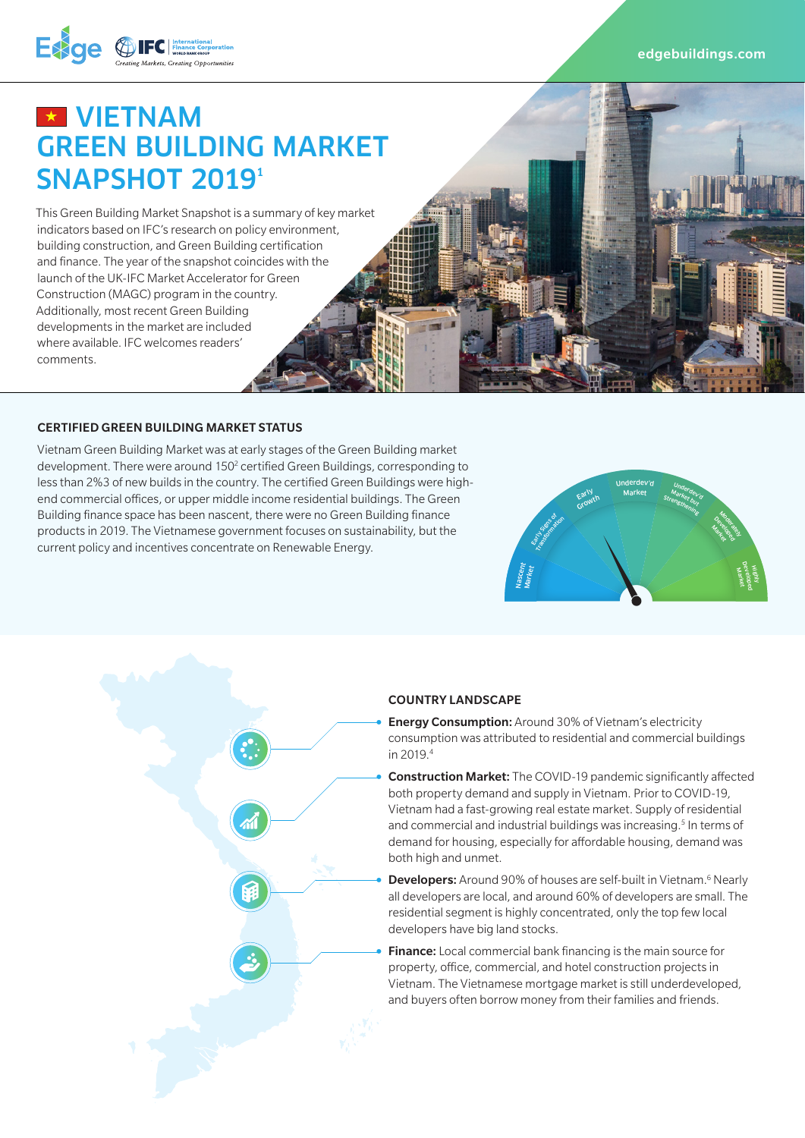edgebuildings.com



# **EX VIETNAM** GREEN BUILDING MARKET SNAPSHOT 2019<sup>1</sup>

This Green Building Market Snapshot is a summary of key market indicators based on IFC's research on policy environment, building construction, and Green Building certification and finance. The year of the snapshot coincides with the launch of the UK-IFC Market Accelerator for Green Construction (MAGC) program in the country. Additionally, most recent Green Building developments in the market are included where available. IFC welcomes readers' comments.

#### CERTIFIED GREEN BUILDING MARKET STATUS

Vietnam Green Building Market was at early stages of the Green Building market development. There were around 150<sup>2</sup> certified Green Buildings, corresponding to less than 2%3 of new builds in the country. The certified Green Buildings were highend commercial offices, or upper middle income residential buildings. The Green Building finance space has been nascent, there were no Green Building finance products in 2019. The Vietnamese government focuses on sustainability, but the current policy and incentives concentrate on Renewable Energy.



#### COUNTRY LANDSCAPE

- **Energy Consumption:** Around 30% of Vietnam's electricity consumption was attributed to residential and commercial buildings in 2019.4
- Construction Market: The COVID-19 pandemic significantly affected both property demand and supply in Vietnam. Prior to COVID-19, Vietnam had a fast-growing real estate market. Supply of residential and commercial and industrial buildings was increasing.<sup>5</sup> In terms of demand for housing, especially for affordable housing, demand was both high and unmet.
- Developers: Around 90% of houses are self-built in Vietnam.<sup>6</sup> Nearly all developers are local, and around 60% of developers are small. The residential segment is highly concentrated, only the top few local developers have big land stocks.
	- Finance: Local commercial bank financing is the main source for property, office, commercial, and hotel construction projects in Vietnam. The Vietnamese mortgage market is still underdeveloped, and buyers often borrow money from their families and friends.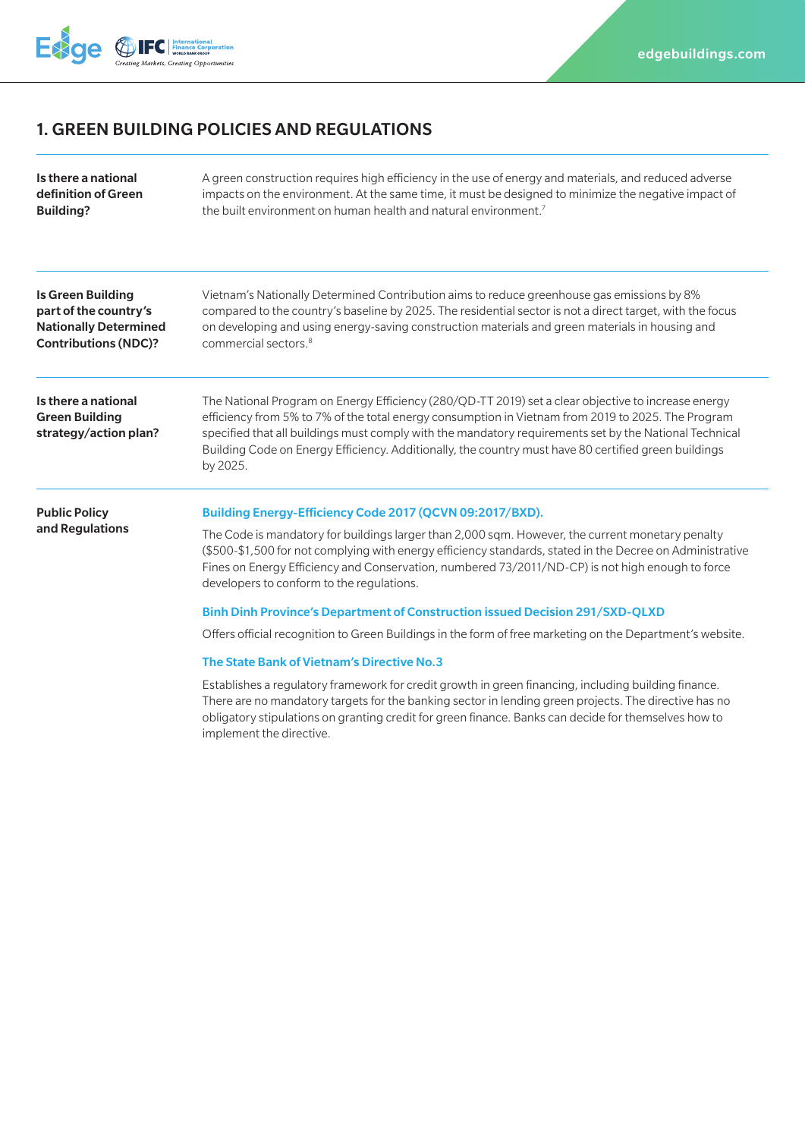

# 1. GREEN BUILDING POLICIES AND REGULATIONS

| Is there a national                                                   | A green construction requires high efficiency in the use of energy and materials, and reduced adverse                                                                                                                                                                                                                                                                                                                                                                                                                                                                                                                                                                                                                                                                                                                                                                                                                                                                                                                      |
|-----------------------------------------------------------------------|----------------------------------------------------------------------------------------------------------------------------------------------------------------------------------------------------------------------------------------------------------------------------------------------------------------------------------------------------------------------------------------------------------------------------------------------------------------------------------------------------------------------------------------------------------------------------------------------------------------------------------------------------------------------------------------------------------------------------------------------------------------------------------------------------------------------------------------------------------------------------------------------------------------------------------------------------------------------------------------------------------------------------|
| definition of Green                                                   | impacts on the environment. At the same time, it must be designed to minimize the negative impact of                                                                                                                                                                                                                                                                                                                                                                                                                                                                                                                                                                                                                                                                                                                                                                                                                                                                                                                       |
| <b>Building?</b>                                                      | the built environment on human health and natural environment. <sup>7</sup>                                                                                                                                                                                                                                                                                                                                                                                                                                                                                                                                                                                                                                                                                                                                                                                                                                                                                                                                                |
| <b>Is Green Building</b>                                              | Vietnam's Nationally Determined Contribution aims to reduce greenhouse gas emissions by 8%                                                                                                                                                                                                                                                                                                                                                                                                                                                                                                                                                                                                                                                                                                                                                                                                                                                                                                                                 |
| part of the country's                                                 | compared to the country's baseline by 2025. The residential sector is not a direct target, with the focus                                                                                                                                                                                                                                                                                                                                                                                                                                                                                                                                                                                                                                                                                                                                                                                                                                                                                                                  |
| <b>Nationally Determined</b>                                          | on developing and using energy-saving construction materials and green materials in housing and                                                                                                                                                                                                                                                                                                                                                                                                                                                                                                                                                                                                                                                                                                                                                                                                                                                                                                                            |
| <b>Contributions (NDC)?</b>                                           | commercial sectors. <sup>8</sup>                                                                                                                                                                                                                                                                                                                                                                                                                                                                                                                                                                                                                                                                                                                                                                                                                                                                                                                                                                                           |
| Is there a national<br><b>Green Building</b><br>strategy/action plan? | The National Program on Energy Efficiency (280/QD-TT 2019) set a clear objective to increase energy<br>efficiency from 5% to 7% of the total energy consumption in Vietnam from 2019 to 2025. The Program<br>specified that all buildings must comply with the mandatory requirements set by the National Technical<br>Building Code on Energy Efficiency. Additionally, the country must have 80 certified green buildings<br>by 2025.                                                                                                                                                                                                                                                                                                                                                                                                                                                                                                                                                                                    |
| <b>Public Policy</b><br>and Regulations                               | Building Energy-Efficiency Code 2017 (QCVN 09:2017/BXD).<br>The Code is mandatory for buildings larger than 2,000 sqm. However, the current monetary penalty<br>(\$500-\$1,500 for not complying with energy efficiency standards, stated in the Decree on Administrative<br>Fines on Energy Efficiency and Conservation, numbered 73/2011/ND-CP) is not high enough to force<br>developers to conform to the regulations.<br>Binh Dinh Province's Department of Construction issued Decision 291/SXD-QLXD<br>Offers official recognition to Green Buildings in the form of free marketing on the Department's website.<br>The State Bank of Vietnam's Directive No.3<br>Establishes a regulatory framework for credit growth in green financing, including building finance.<br>There are no mandatory targets for the banking sector in lending green projects. The directive has no<br>obligatory stipulations on granting credit for green finance. Banks can decide for themselves how to<br>implement the directive. |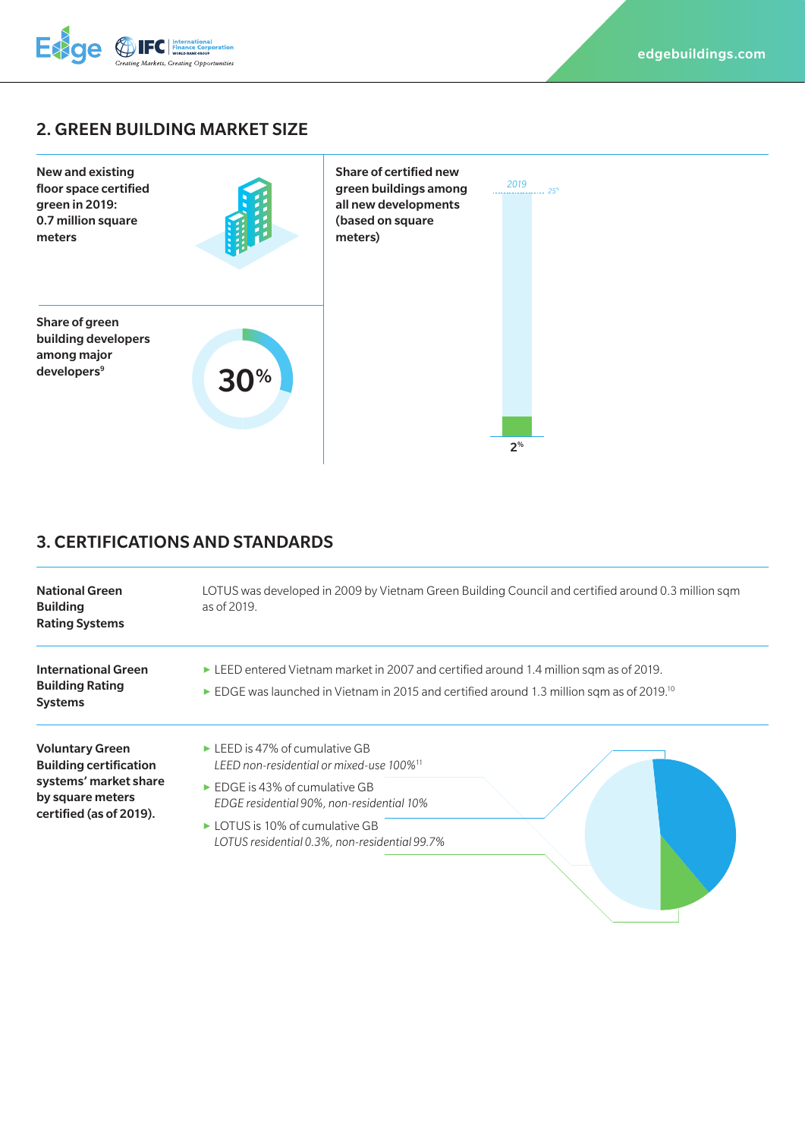

## 2. GREEN BUILDING MARKET SIZE



# 3. CERTIFICATIONS AND STANDARDS

| <b>National Green</b><br><b>Building</b><br><b>Rating Systems</b>                                                               | LOTUS was developed in 2009 by Vietnam Green Building Council and certified around 0.3 million sqm<br>as of 2019.                                                                                                                                                                                      |
|---------------------------------------------------------------------------------------------------------------------------------|--------------------------------------------------------------------------------------------------------------------------------------------------------------------------------------------------------------------------------------------------------------------------------------------------------|
| <b>International Green</b><br><b>Building Rating</b><br><b>Systems</b>                                                          | ELEED entered Vietnam market in 2007 and certified around 1.4 million sqm as of 2019.<br>EDGE was launched in Vietnam in 2015 and certified around 1.3 million sqm as of 2019. <sup>10</sup>                                                                                                           |
| <b>Voluntary Green</b><br><b>Building certification</b><br>systems' market share<br>by square meters<br>certified (as of 2019). | $\triangleright$ LEED is 47% of cumulative GB<br>LEED non-residential or mixed-use 100% <sup>11</sup><br>$\triangleright$ EDGE is 43% of cumulative GB<br>EDGE residential 90%, non-residential 10%<br>$\triangleright$ LOTUS is 10% of cumulative GB<br>LOTUS residential 0.3%, non-residential 99.7% |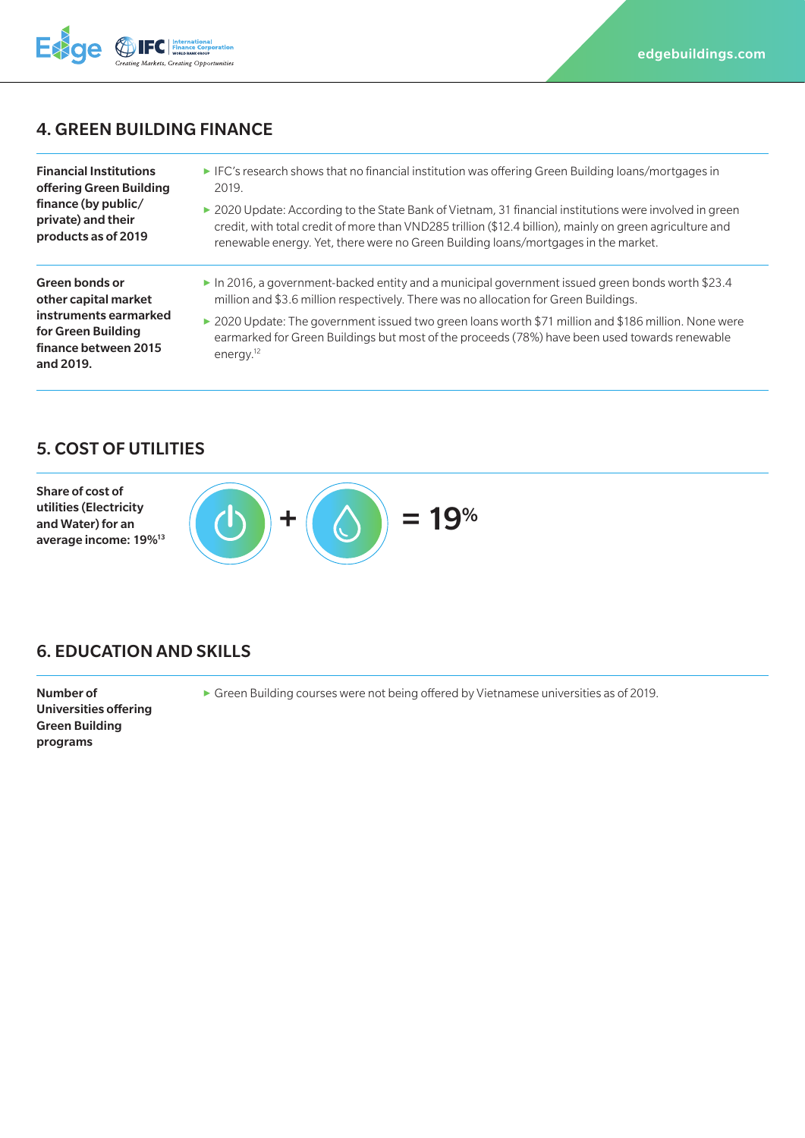## 4. GREEN BUILDING FINANCE

Financial Institutions offering Green Building finance (by public/ private) and their products as of 2019

**Exce** 

- **▶** IFC's research shows that no financial institution was offering Green Building loans/mortgages in 2019.
- ▶ 2020 Update: According to the State Bank of Vietnam, 31 financial institutions were involved in green credit, with total credit of more than VND285 trillion (\$12.4 billion), mainly on green agriculture and renewable energy. Yet, there were no Green Building loans/mortgages in the market.

Green bonds or other capital market instruments earmarked for Green Building finance between 2015 and 2019.

- **▶** In 2016, a government-backed entity and a municipal government issued green bonds worth \$23.4 million and \$3.6 million respectively. There was no allocation for Green Buildings.
- ▶ 2020 Update: The government issued two green loans worth \$71 million and \$186 million. None were earmarked for Green Buildings but most of the proceeds (78%) have been used towards renewable energy.<sup>12</sup>

#### 5. COST OF UTILITIES

Share of cost of utilities (Electricity and Water) for an average income: 19%13



#### 6. EDUCATION AND SKILLS

Number of Universities offering Green Building programs

**▶** Green Building courses were not being offered by Vietnamese universities as of 2019.